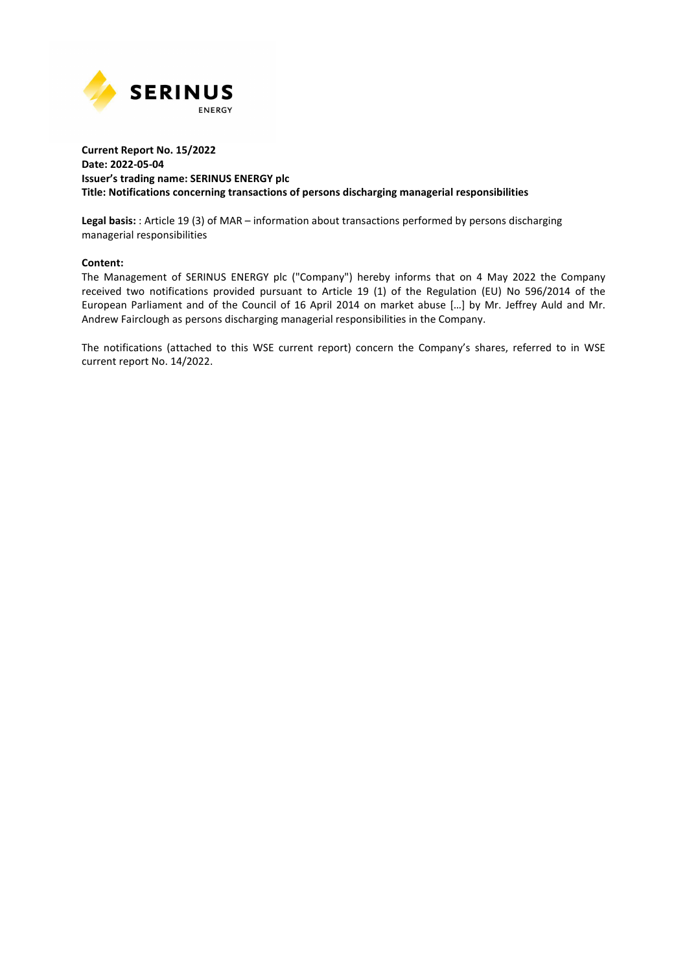

## **Current Report No. 15/2022 Date: 2022-05-04 Issuer's trading name: SERINUS ENERGY plc Title: Notifications concerning transactions of persons discharging managerial responsibilities**

**Legal basis:** : Article 19 (3) of MAR – information about transactions performed by persons discharging managerial responsibilities

## **Content:**

The Management of SERINUS ENERGY plc ("Company") hereby informs that on 4 May 2022 the Company received two notifications provided pursuant to Article 19 (1) of the Regulation (EU) No 596/2014 of the European Parliament and of the Council of 16 April 2014 on market abuse […] by Mr. Jeffrey Auld and Mr. Andrew Fairclough as persons discharging managerial responsibilities in the Company.

The notifications (attached to this WSE current report) concern the Company's shares, referred to in WSE current report No. 14/2022.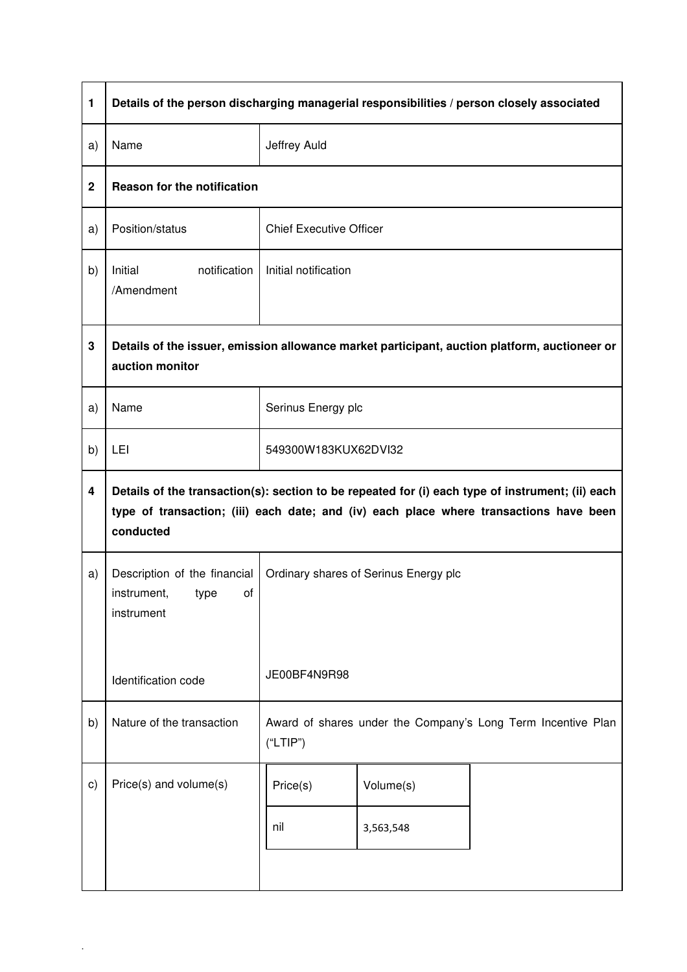| 1           | Details of the person discharging managerial responsibilities / person closely associated                                                                                                               |                                                                          |  |  |  |  |
|-------------|---------------------------------------------------------------------------------------------------------------------------------------------------------------------------------------------------------|--------------------------------------------------------------------------|--|--|--|--|
| a)          | Name                                                                                                                                                                                                    | Jeffrey Auld                                                             |  |  |  |  |
| $\mathbf 2$ | Reason for the notification                                                                                                                                                                             |                                                                          |  |  |  |  |
| a)          | Position/status                                                                                                                                                                                         | <b>Chief Executive Officer</b>                                           |  |  |  |  |
| b)          | notification<br>Initial<br>/Amendment                                                                                                                                                                   | Initial notification                                                     |  |  |  |  |
| 3           | Details of the issuer, emission allowance market participant, auction platform, auctioneer or<br>auction monitor                                                                                        |                                                                          |  |  |  |  |
| a)          | Name                                                                                                                                                                                                    | Serinus Energy plc                                                       |  |  |  |  |
| b)          | LEI                                                                                                                                                                                                     | 549300W183KUX62DVI32                                                     |  |  |  |  |
| 4           | Details of the transaction(s): section to be repeated for (i) each type of instrument; (ii) each<br>type of transaction; (iii) each date; and (iv) each place where transactions have been<br>conducted |                                                                          |  |  |  |  |
| a)          | Description of the financial<br>instrument,<br>οf<br>type<br>instrument                                                                                                                                 | Ordinary shares of Serinus Energy plc                                    |  |  |  |  |
|             | Identification code                                                                                                                                                                                     | JE00BF4N9R98                                                             |  |  |  |  |
| b)          | Nature of the transaction                                                                                                                                                                               | Award of shares under the Company's Long Term Incentive Plan<br>("LTIP") |  |  |  |  |
| C)          | Price(s) and volume(s)                                                                                                                                                                                  | Volume(s)<br>Price(s)                                                    |  |  |  |  |
|             |                                                                                                                                                                                                         | nil<br>3,563,548                                                         |  |  |  |  |
|             |                                                                                                                                                                                                         |                                                                          |  |  |  |  |

.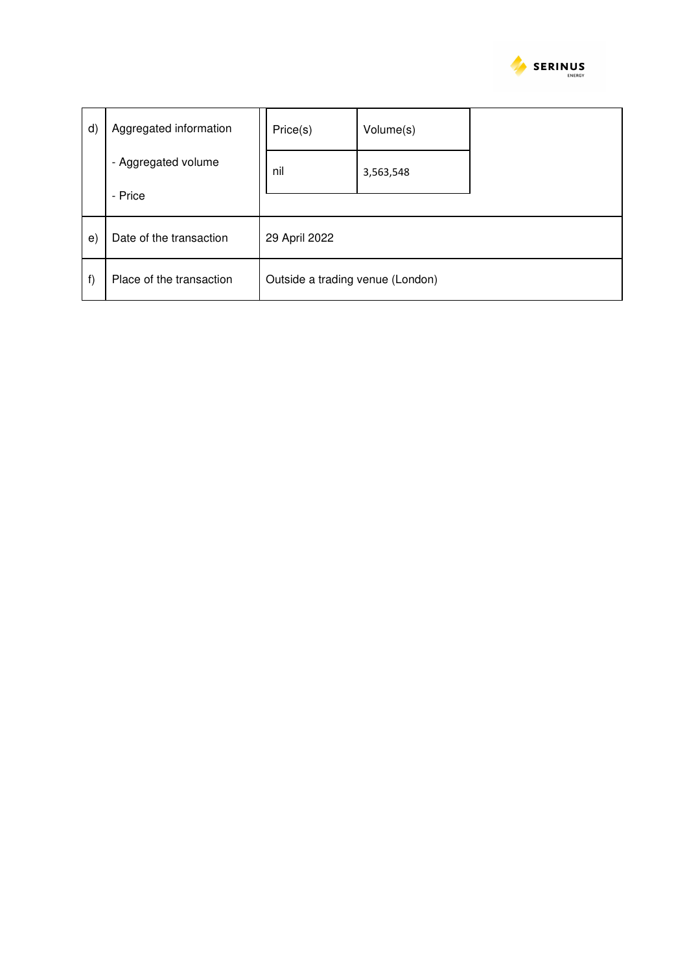

| d)       | Aggregated information         | Price(s)                         | Volume(s) |  |  |
|----------|--------------------------------|----------------------------------|-----------|--|--|
|          | - Aggregated volume<br>- Price | nil                              | 3,563,548 |  |  |
| $\Theta$ | Date of the transaction        | 29 April 2022                    |           |  |  |
| f)       | Place of the transaction       | Outside a trading venue (London) |           |  |  |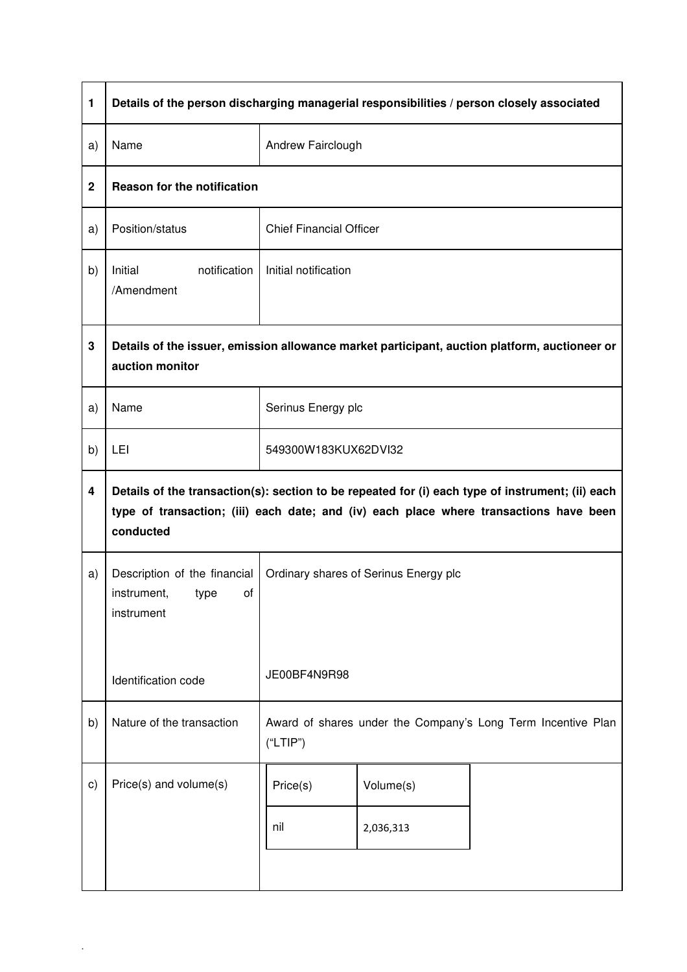| 1           | Details of the person discharging managerial responsibilities / person closely associated                                                                                                               |                                                                          |  |  |  |  |
|-------------|---------------------------------------------------------------------------------------------------------------------------------------------------------------------------------------------------------|--------------------------------------------------------------------------|--|--|--|--|
| a)          | Name                                                                                                                                                                                                    | Andrew Fairclough                                                        |  |  |  |  |
| $\mathbf 2$ | Reason for the notification                                                                                                                                                                             |                                                                          |  |  |  |  |
| a)          | Position/status                                                                                                                                                                                         | <b>Chief Financial Officer</b>                                           |  |  |  |  |
| b)          | notification<br>Initial<br>/Amendment                                                                                                                                                                   | Initial notification                                                     |  |  |  |  |
| $\mathbf 3$ | Details of the issuer, emission allowance market participant, auction platform, auctioneer or<br>auction monitor                                                                                        |                                                                          |  |  |  |  |
| a)          | Name                                                                                                                                                                                                    | Serinus Energy plc                                                       |  |  |  |  |
| b)          | LEI                                                                                                                                                                                                     | 549300W183KUX62DVI32                                                     |  |  |  |  |
| 4           | Details of the transaction(s): section to be repeated for (i) each type of instrument; (ii) each<br>type of transaction; (iii) each date; and (iv) each place where transactions have been<br>conducted |                                                                          |  |  |  |  |
| a)          | Description of the financial<br>instrument,<br>οf<br>type<br>instrument                                                                                                                                 | Ordinary shares of Serinus Energy plc                                    |  |  |  |  |
|             | Identification code                                                                                                                                                                                     | JE00BF4N9R98                                                             |  |  |  |  |
| b)          | Nature of the transaction                                                                                                                                                                               | Award of shares under the Company's Long Term Incentive Plan<br>("LTIP") |  |  |  |  |
| c)          | Price(s) and volume(s)                                                                                                                                                                                  | Volume(s)<br>Price(s)                                                    |  |  |  |  |
|             |                                                                                                                                                                                                         | nil<br>2,036,313                                                         |  |  |  |  |
|             |                                                                                                                                                                                                         |                                                                          |  |  |  |  |

.